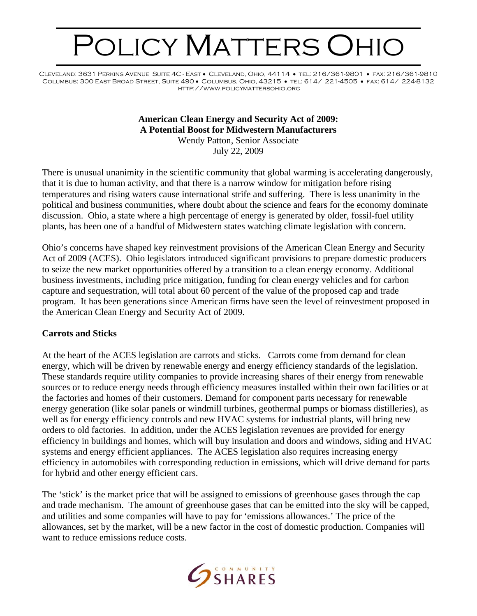# POLICY MATTERS OHIO

Cleveland: 3631 Perkins Avenue Suite 4C - East • Cleveland, Ohio, 44114 • tel: 216/361-9801 • fax: 216/361-9810 Columbus: 300 East Broad Street, Suite 490 • Columbus, Ohio, 43215 • tel: 614/ 221-4505 • fax: 614/ 224-8132 http://www.policymattersohio.org

# **American Clean Energy and Security Act of 2009: A Potential Boost for Midwestern Manufacturers**

Wendy Patton, Senior Associate July 22, 2009

There is unusual unanimity in the scientific community that global warming is accelerating dangerously, that it is due to human activity, and that there is a narrow window for mitigation before rising temperatures and rising waters cause international strife and suffering. There is less unanimity in the political and business communities, where doubt about the science and fears for the economy dominate discussion. Ohio, a state where a high percentage of energy is generated by older, fossil-fuel utility plants, has been one of a handful of Midwestern states watching climate legislation with concern.

Ohio's concerns have shaped key reinvestment provisions of the American Clean Energy and Security Act of 2009 (ACES). Ohio legislators introduced significant provisions to prepare domestic producers to seize the new market opportunities offered by a transition to a clean energy economy. Additional business investments, including price mitigation, funding for clean energy vehicles and for carbon capture and sequestration, will total about 60 percent of the value of the proposed cap and trade program. It has been generations since American firms have seen the level of reinvestment proposed in the American Clean Energy and Security Act of 2009.

#### **Carrots and Sticks**

At the heart of the ACES legislation are carrots and sticks. Carrots come from demand for clean energy, which will be driven by renewable energy and energy efficiency standards of the legislation. These standards require utility companies to provide increasing shares of their energy from renewable sources or to reduce energy needs through efficiency measures installed within their own facilities or at the factories and homes of their customers. Demand for component parts necessary for renewable energy generation (like solar panels or windmill turbines, geothermal pumps or biomass distilleries), as well as for energy efficiency controls and new HVAC systems for industrial plants, will bring new orders to old factories. In addition, under the ACES legislation revenues are provided for energy efficiency in buildings and homes, which will buy insulation and doors and windows, siding and HVAC systems and energy efficient appliances. The ACES legislation also requires increasing energy efficiency in automobiles with corresponding reduction in emissions, which will drive demand for parts for hybrid and other energy efficient cars.

The 'stick' is the market price that will be assigned to emissions of greenhouse gases through the cap and trade mechanism. The amount of greenhouse gases that can be emitted into the sky will be capped, and utilities and some companies will have to pay for 'emissions allowances.' The price of the allowances, set by the market, will be a new factor in the cost of domestic production. Companies will want to reduce emissions reduce costs.

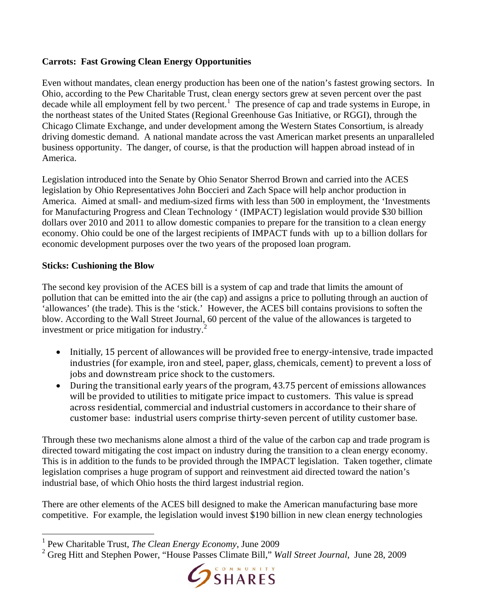## **Carrots: Fast Growing Clean Energy Opportunities**

Even without mandates, clean energy production has been one of the nation's fastest growing sectors. In Ohio, according to the Pew Charitable Trust, clean energy sectors grew at seven percent over the past decade while all employment fell by two percent.<sup>[1](#page-1-0)</sup> The presence of cap and trade systems in Europe, in the northeast states of the United States (Regional Greenhouse Gas Initiative, or RGGI), through the Chicago Climate Exchange, and under development among the Western States Consortium, is already driving domestic demand. A national mandate across the vast American market presents an unparalleled business opportunity. The danger, of course, is that the production will happen abroad instead of in America.

Legislation introduced into the Senate by Ohio Senator Sherrod Brown and carried into the ACES legislation by Ohio Representatives John Boccieri and Zach Space will help anchor production in America. Aimed at small- and medium-sized firms with less than 500 in employment, the 'Investments for Manufacturing Progress and Clean Technology ' (IMPACT) legislation would provide \$30 billion dollars over 2010 and 2011 to allow domestic companies to prepare for the transition to a clean energy economy. Ohio could be one of the largest recipients of IMPACT funds with up to a billion dollars for economic development purposes over the two years of the proposed loan program.

## **Sticks: Cushioning the Blow**

 $\overline{a}$ 

The second key provision of the ACES bill is a system of cap and trade that limits the amount of pollution that can be emitted into the air (the cap) and assigns a price to polluting through an auction of 'allowances' (the trade). This is the 'stick.' However, the ACES bill contains provisions to soften the blow. According to the Wall Street Journal, 60 percent of the value of the allowances is targeted to investment or price mitigation for industry.<sup>2</sup>

- Initially, 15 percent of allowances will be provided free to energy-intensive, trade impacted industries (for example, iron and steel, paper, glass, chemicals, cement) to prevent a loss of jobs and downstream price shock to the customers.
- During the transitional early years of the program, 43.75 percent of emissions allowances will be provided to utilities to mitigate price impact to customers. This value is spread across residential, commercial and industrial customers in accordance to their share of customer base: industrial users comprise thirty-seven percent of utility customer base.

Through these two mechanisms alone almost a third of the value of the carbon cap and trade program is directed toward mitigating the cost impact on industry during the transition to a clean energy economy. This is in addition to the funds to be provided through the IMPACT legislation. Taken together, climate legislation comprises a huge program of support and reinvestment aid directed toward the nation's industrial base, of which Ohio hosts the third largest industrial region.

There are other elements of the ACES bill designed to make the American manufacturing base more competitive. For example, the legislation would invest \$190 billion in new clean energy technologies

<sup>2</sup> Greg Hitt and Stephen Power, "House Passes Climate Bill," *Wall Street Journal*, June 28, 2009



<span id="page-1-0"></span><sup>1</sup> Pew Charitable Trust, *The Clean Energy Economy*, June 2009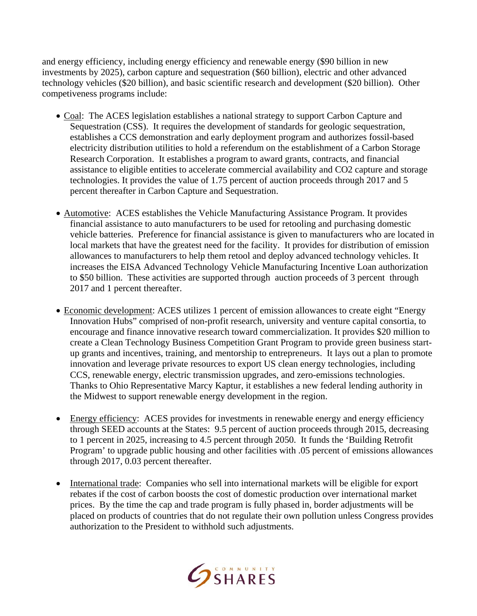and energy efficiency, including energy efficiency and renewable energy (\$90 billion in new investments by 2025), carbon capture and sequestration (\$60 billion), electric and other advanced technology vehicles (\$20 billion), and basic scientific research and development (\$20 billion). Other competiveness programs include:

- Coal: The ACES legislation establishes a national strategy to support Carbon Capture and Sequestration (CSS). It requires the development of standards for geologic sequestration, establishes a CCS demonstration and early deployment program and authorizes fossil-based electricity distribution utilities to hold a referendum on the establishment of a Carbon Storage Research Corporation. It establishes a program to award grants, contracts, and financial assistance to eligible entities to accelerate commercial availability and CO2 capture and storage technologies. It provides the value of 1.75 percent of auction proceeds through 2017 and 5 percent thereafter in Carbon Capture and Sequestration.
- Automotive: ACES establishes the Vehicle Manufacturing Assistance Program. It provides financial assistance to auto manufacturers to be used for retooling and purchasing domestic vehicle batteries. Preference for financial assistance is given to manufacturers who are located in local markets that have the greatest need for the facility. It provides for distribution of emission allowances to manufacturers to help them retool and deploy advanced technology vehicles. It increases the EISA Advanced Technology Vehicle Manufacturing Incentive Loan authorization to \$50 billion. These activities are supported through auction proceeds of 3 percent through 2017 and 1 percent thereafter.
- Economic development: ACES utilizes 1 percent of emission allowances to create eight "Energy" Innovation Hubs" comprised of non-profit research, university and venture capital consortia, to encourage and finance innovative research toward commercialization. It provides \$20 million to create a Clean Technology Business Competition Grant Program to provide green business startup grants and incentives, training, and mentorship to entrepreneurs. It lays out a plan to promote innovation and leverage private resources to export US clean energy technologies, including CCS, renewable energy, electric transmission upgrades, and zero-emissions technologies. Thanks to Ohio Representative Marcy Kaptur, it establishes a new federal lending authority in the Midwest to support renewable energy development in the region.
- Energy efficiency: ACES provides for investments in renewable energy and energy efficiency through SEED accounts at the States: 9.5 percent of auction proceeds through 2015, decreasing to 1 percent in 2025, increasing to 4.5 percent through 2050. It funds the 'Building Retrofit Program' to upgrade public housing and other facilities with .05 percent of emissions allowances through 2017, 0.03 percent thereafter.
- International trade: Companies who sell into international markets will be eligible for export rebates if the cost of carbon boosts the cost of domestic production over international market prices. By the time the cap and trade program is fully phased in, border adjustments will be placed on products of countries that do not regulate their own pollution unless Congress provides authorization to the President to withhold such adjustments.